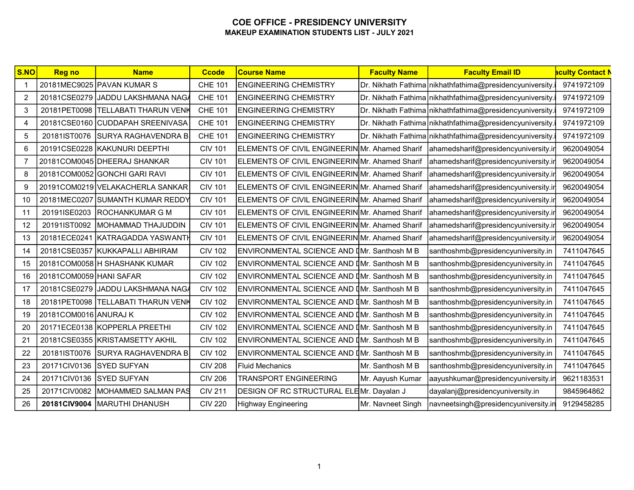| SNO            | <b>Reg no</b>            | <b>Name</b>                        | <b>Ccode</b>   | <b>Course Name</b>                             | <b>Faculty Name</b> | <b>Faculty Email ID</b>                                   | <mark>aculty Contact N</mark> |
|----------------|--------------------------|------------------------------------|----------------|------------------------------------------------|---------------------|-----------------------------------------------------------|-------------------------------|
| -1             |                          | 20181MEC9025 PAVAN KUMAR S         | <b>CHE 101</b> | <b>ENGINEERING CHEMISTRY</b>                   |                     | Dr. Nikhath Fathima nikhathfathima@presidencyuniversity.i | 9741972109                    |
| 2              |                          | 20181CSE0279 JJADDU LAKSHMANA NAGA | <b>CHE 101</b> | <b>ENGINEERING CHEMISTRY</b>                   |                     | Dr. Nikhath Fathima nikhathfathima@presidencyuniversity.  | 9741972109                    |
| 3              | 20181PET0098             | <b>TELLABATI THARUN VENK</b>       | <b>CHE 101</b> | <b>ENGINEERING CHEMISTRY</b>                   |                     | Dr. Nikhath Fathima nikhathfathima@presidencyuniversity.  | 9741972109                    |
| 4              | 20181CSE0160             | CUDDAPAH SREENIVASA                | <b>CHE 101</b> | <b>ENGINEERING CHEMISTRY</b>                   |                     | Dr. Nikhath Fathima nikhathfathima@presidencyuniversity.  | 9741972109                    |
| 5              |                          | 20181IST0076 SURYA RAGHAVENDRA B   | <b>CHE 101</b> | <b>ENGINEERING CHEMISTRY</b>                   |                     | Dr. Nikhath Fathima nikhathfathima@presidencyuniversity.  | 9741972109                    |
| 6              |                          | 20191CSE0228 KAKUNURI DEEPTHI      | <b>CIV 101</b> | ELEMENTS OF CIVIL ENGINEERIN Mr. Ahamed Sharif |                     | ahamedsharif@presidencyuniversity.ir                      | 9620049054                    |
| $\overline{7}$ |                          | 20181COM0045 DHEERAJ SHANKAR       | <b>CIV 101</b> | ELEMENTS OF CIVIL ENGINEERIN Mr. Ahamed Sharif |                     | ahamedsharif@presidencyuniversity.ir                      | 9620049054                    |
| 8              |                          | 20181COM0052 GONCHI GARI RAVI      | <b>CIV 101</b> | ELEMENTS OF CIVIL ENGINEERIN Mr. Ahamed Sharif |                     | ahamedsharif@presidencyuniversity.ir                      | 9620049054                    |
| 9              |                          | 20191COM0219 VELAKACHERLA SANKAR   | <b>CIV 101</b> | ELEMENTS OF CIVIL ENGINEERIN Mr. Ahamed Sharif |                     | ahamedsharif@presidencyuniversity.ir                      | 9620049054                    |
| 10             |                          | 20181MEC0207 SUMANTH KUMAR REDDY   | <b>CIV 101</b> | ELEMENTS OF CIVIL ENGINEERIN Mr. Ahamed Sharif |                     | ahamedsharif@presidencyuniversity.ir                      | 9620049054                    |
| 11             |                          | 20191ISE0203 ROCHANKUMAR G M       | <b>CIV 101</b> | ELEMENTS OF CIVIL ENGINEERIN Mr. Ahamed Sharif |                     | ahamedsharif@presidencyuniversity.ir                      | 9620049054                    |
| 12             | 20191IST0092             | MOHAMMAD THAJUDDIN                 | <b>CIV 101</b> | ELEMENTS OF CIVIL ENGINEERINMIr. Ahamed Sharif |                     | ahamedsharif@presidencyuniversity.ir                      | 9620049054                    |
| 13             |                          | 20181ECE0241 KATRAGADDA YASWANTH   | <b>CIV 101</b> | ELEMENTS OF CIVIL ENGINEERIN Mr. Ahamed Sharif |                     | ahamedsharif@presidencyuniversity.ir                      | 9620049054                    |
| 14             |                          | 20181CSE0357 KUKKAPALLI ABHIRAM    | <b>CIV 102</b> | ENVIRONMENTAL SCIENCE AND IMr. Santhosh M B    |                     | santhoshmb@presidencyuniversity.in                        | 7411047645                    |
| 15             |                          | 20181COM0058 H SHASHANK KUMAR      | <b>CIV 102</b> | ENVIRONMENTAL SCIENCE AND IMr. Santhosh M B    |                     | santhoshmb@presidencyuniversity.in                        | 7411047645                    |
| 16             | 20181COM0059 HANI SAFAR  |                                    | <b>CIV 102</b> | ENVIRONMENTAL SCIENCE AND IMr. Santhosh M B    |                     | santhoshmb@presidencyuniversity.in                        | 7411047645                    |
| 17             |                          | 20181CSE0279 JJADDU LAKSHMANA NAGA | <b>CIV 102</b> | ENVIRONMENTAL SCIENCE AND [Mr. Santhosh M B    |                     | santhoshmb@presidencyuniversity.in                        | 7411047645                    |
| 18             |                          | 20181PET0098 TELLABATI THARUN VENK | <b>CIV 102</b> | ENVIRONMENTAL SCIENCE AND IMr. Santhosh M B    |                     | santhoshmb@presidencyuniversity.in                        | 7411047645                    |
| 19             | 20181COM0016 ANURAJ K    |                                    | <b>CIV 102</b> | ENVIRONMENTAL SCIENCE AND IMr. Santhosh M B    |                     | santhoshmb@presidencyuniversity.in                        | 7411047645                    |
| 20             |                          | 20171ECE0138 KOPPERLA PREETHI      | <b>CIV 102</b> | ENVIRONMENTAL SCIENCE AND IMr. Santhosh M B    |                     | santhoshmb@presidencyuniversity.in                        | 7411047645                    |
| 21             |                          | 20181CSE0355 KRISTAMSETTY AKHIL    | <b>CIV 102</b> | ENVIRONMENTAL SCIENCE AND [Mr. Santhosh M B    |                     | santhoshmb@presidencyuniversity.in                        | 7411047645                    |
| 22             | 20181IST0076             | <b>SURYA RAGHAVENDRA B</b>         | <b>CIV 102</b> | ENVIRONMENTAL SCIENCE AND IMr. Santhosh M B    |                     | santhoshmb@presidencyuniversity.in                        | 7411047645                    |
| 23             | 20171CIV0136 SYED SUFYAN |                                    | <b>CIV 208</b> | <b>Fluid Mechanics</b>                         | Mr. Santhosh M B    | santhoshmb@presidencyuniversity.in                        | 7411047645                    |
| 24             | 20171CIV0136 SYED SUFYAN |                                    | <b>CIV 206</b> | <b>TRANSPORT ENGINEERING</b>                   | Mr. Aayush Kumar    | aayushkumar@presidencyuniversity.in                       | 9621183531                    |
| 25             | 20171CIV0082             | MOHAMMED SALMAN PAS                | <b>CIV 211</b> | DESIGN OF RC STRUCTURAL ELEMr. Dayalan J       |                     | dayalanj@presidencyuniversity.in                          | 9845964862                    |
| 26             |                          | 20181CIV9004   MARUTHI DHANUSH     | <b>CIV 220</b> | Highway Engineering                            | Mr. Navneet Singh   | navneetsingh@presidencyuniversity.in                      | 9129458285                    |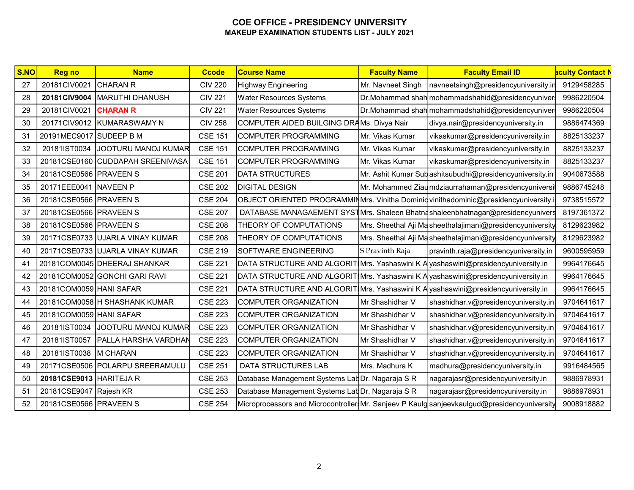| S.NO | <b>Reg no</b>           | <b>Name</b>                       | <b>Ccode</b>   | <b>Course Name</b>                                                                | <b>Faculty Name</b> | <b>Faculty Email ID</b>                                                                      | <b>aculty Contact N</b> |
|------|-------------------------|-----------------------------------|----------------|-----------------------------------------------------------------------------------|---------------------|----------------------------------------------------------------------------------------------|-------------------------|
| 27   | 20181CIV0021            | <b>CHARAN R</b>                   | <b>CIV 220</b> | <b>Highway Engineering</b>                                                        | Mr. Navneet Singh   | navneetsingh@presidencyuniversity.in                                                         | 9129458285              |
| 28   |                         | 20181CIV9004   MARUTHI DHANUSH    | <b>CIV 221</b> | Water Resources Systems                                                           |                     | Dr.Mohammad shah mohammadshahid@presidencyuniver                                             | 9986220504              |
| 29   | 20181CIV0021            | <b>CHARAN R</b>                   | <b>CIV 221</b> | <b>Water Resources Systems</b>                                                    |                     | Dr.Mohammad shah mohammadshahid@presidencyuniver                                             | 9986220504              |
| 30   |                         | 20171CIV9012 KUMARASWAMY N        | <b>CIV 258</b> | COMPUTER AIDED BUILGING DRAMS. Divya Nair                                         |                     | divya.nair@presidencyuniversity.in                                                           | 9886474369              |
| 31   | 20191MEC9017 SUDEEP B M |                                   | <b>CSE 151</b> | COMPUTER PROGRAMMING                                                              | Mr. Vikas Kumar     | vikaskumar@presidencyuniversity.in                                                           | 8825133237              |
| 32   |                         | 20181IST0034 JJOOTURU MANOJ KUMAR | <b>CSE 151</b> | COMPUTER PROGRAMMING                                                              | Mr. Vikas Kumar     | vikaskumar@presidencyuniversity.in                                                           | 8825133237              |
| 33   |                         | 20181CSE0160 CUDDAPAH SREENIVASA  | <b>CSE 151</b> | <b>COMPUTER PROGRAMMING</b>                                                       | Mr. Vikas Kumar     | vikaskumar@presidencyuniversity.in                                                           | 8825133237              |
| 34   | 20181CSE0566 PRAVEEN S  |                                   | <b>CSE 201</b> | <b>DATA STRUCTURES</b>                                                            |                     | Mr. Ashit Kumar Sub ashitsubudhi@presidencyuniversity.in                                     | 9040673588              |
| 35   | 20171EEE0041 NAVEEN P   |                                   | <b>CSE 202</b> | <b>DIGITAL DESIGN</b>                                                             |                     | Mr. Mohammed Ziaumdziaurrahaman@presidencyuniversit                                          | 9886745248              |
| 36   | 20181CSE0566 PRAVEEN S  |                                   | <b>CSE 204</b> |                                                                                   |                     | OBJECT ORIENTED PROGRAMMINMrs. Vinitha Dominiq vinithadominic@presidencyuniversity.i         | 9738515572              |
| 37   | 20181CSE0566 PRAVEEN S  |                                   | <b>CSE 207</b> |                                                                                   |                     | DATABASE MANAGAEMENT SYSTMIrs. Shaleen Bhatnashaleenbhatnagar@presidencyunivers              | 8197361372              |
| 38   | 20181CSE0566 PRAVEEN S  |                                   | <b>CSE 208</b> | THEORY OF COMPUTATIONS                                                            |                     | Mrs. Sheethal Aji Masheethalajimani@presidencyuniversity                                     | 8129623982              |
| 39   |                         | 20171CSE0733 UJARLA VINAY KUMAR   | <b>CSE 208</b> | THEORY OF COMPUTATIONS                                                            |                     | Mrs. Sheethal Aji Masheethalajimani@presidencyuniversity                                     | 8129623982              |
| 40   |                         | 20171CSE0733 UJARLA VINAY KUMAR   | <b>CSE 219</b> | <b>SOFTWARE ENGINEERING</b>                                                       | S Pravinth Raja     | pravinth.raja@presidencyuniversity.in                                                        | 9600595959              |
| 41   |                         | 20181COM0045 DHEERAJ SHANKAR      | <b>CSE 221</b> | DATA STRUCTURE AND ALGORIT Mrs. Yashaswini K A yashaswini@presidencyuniversity.in |                     |                                                                                              | 9964176645              |
| 42   |                         | 20181COM0052 GONCHI GARI RAVI     | <b>CSE 221</b> | DATA STRUCTURE AND ALGORIT Mrs. Yashaswini K A yashaswini@presidencyuniversity.in |                     |                                                                                              | 9964176645              |
| 43   | 20181COM0059 HANI SAFAR |                                   | <b>CSE 221</b> | DATA STRUCTURE AND ALGORIT Mrs. Yashaswini K A yashaswini@presidencyuniversity.in |                     |                                                                                              | 9964176645              |
| 44   |                         | 20181COM0058 H SHASHANK KUMAR     | <b>CSE 223</b> | <b>COMPUTER ORGANIZATION</b>                                                      | Mr Shashidhar V     | shashidhar.v@presidencyuniversity.in                                                         | 9704641617              |
| 45   | 20181COM0059 HANI SAFAR |                                   | <b>CSE 223</b> | COMPUTER ORGANIZATION                                                             | Mr Shashidhar V     | shashidhar.v@presidencyuniversity.in                                                         | 9704641617              |
| 46   | 20181IST0034            | JOOTURU MANOJ KUMAR               | <b>CSE 223</b> | <b>COMPUTER ORGANIZATION</b>                                                      | Mr Shashidhar V     | shashidhar.v@presidencyuniversity.in                                                         | 9704641617              |
| 47   | 20181IST0057            | <b>PALLA HARSHA VARDHAN</b>       | <b>CSE 223</b> | COMPUTER ORGANIZATION                                                             | Mr Shashidhar V     | shashidhar.v@presidencyuniversity.in                                                         | 9704641617              |
| 48   | 20181IST0038   M CHARAN |                                   | <b>CSE 223</b> | COMPUTER ORGANIZATION                                                             | Mr Shashidhar V     | shashidhar.v@presidencyuniversity.in                                                         | 9704641617              |
| 49   |                         | 20171CSE0506 POLARPU SREERAMULU   | <b>CSE 251</b> | DATA STRUCTURES LAB                                                               | Mrs. Madhura K      | madhura@presidencyuniversity.in                                                              | 9916484565              |
| 50   | 20181CSE9013 HARITEJA R |                                   | <b>CSE 253</b> | Database Management Systems LabDr. Nagaraja S R                                   |                     | nagarajasr@presidencyuniversity.in                                                           | 9886978931              |
| 51   | 20181CSE9047 Rajesh KR  |                                   | <b>CSE 253</b> | Database Management Systems LabDr. Nagaraja S R                                   |                     | nagarajasr@presidencyuniversity.in                                                           | 9886978931              |
| 52   | 20181CSE0566 PRAVEEN S  |                                   | <b>CSE 254</b> |                                                                                   |                     | Microprocessors and Microcontroller Mr. Sanjeev P Kaulg sanjeev kaulgud@presidencyuniversity | 9008918882              |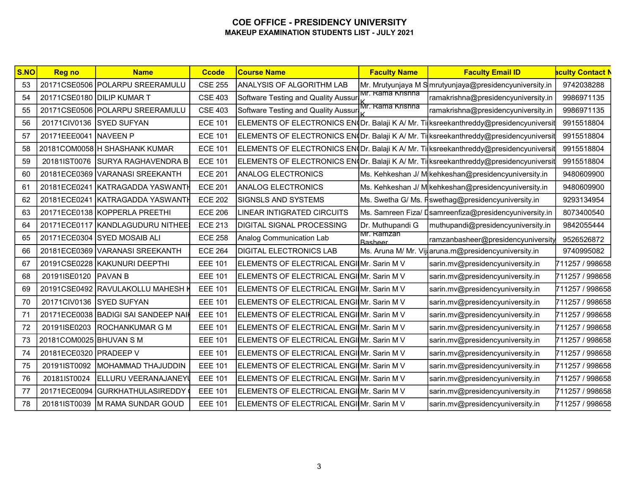| S.NO | <b>Reg no</b>           | <b>Name</b>                          | <b>Ccode</b>   | <b>Course Name</b>                        | <b>Faculty Name</b>          | <b>Faculty Email ID</b>                                                               | <b>aculty Contact N</b> |
|------|-------------------------|--------------------------------------|----------------|-------------------------------------------|------------------------------|---------------------------------------------------------------------------------------|-------------------------|
| 53   |                         | 20171CSE0506 POLARPU SREERAMULU      | <b>CSE 255</b> | ANALYSIS OF ALGORITHM LAB                 |                              | Mr. Mrutyunjaya M S mrutyunjaya@presidencyuniversity.in                               | 9742038288              |
| 54   |                         | 20171CSE0180 DILIP KUMAR T           | <b>CSE 403</b> | Software Testing and Quality Aussur       | Mr. Rama Krishna             | ramakrishna@presidencyuniversity.in                                                   | 9986971135              |
| 55   |                         | 20171CSE0506 POLARPU SREERAMULU      | <b>CSE 403</b> | Software Testing and Quality Aussur       | Mr. Rama Krishna             | ramakrishna@presidencyuniversity.in                                                   | 9986971135              |
| 56   | 20171CIV0136            | <b>SYED SUFYAN</b>                   | <b>ECE 101</b> |                                           |                              | ELEMENTS OF ELECTRONICS EN≬Dr. Balaji K A/ Mr. Ti∣ksreekanthreddy@presidencyuniversit | 9915518804              |
| 57   | 20171EEE0041            | NAVEEN P                             | <b>ECE 101</b> |                                           |                              | ELEMENTS OF ELECTRONICS EN(Dr. Balaji K A/ Mr. Ti ksreekanthreddy@presidencyuniversit | 9915518804              |
| 58   |                         | 20181COM0058 H SHASHANK KUMAR        | <b>ECE 101</b> |                                           |                              | ELEMENTS OF ELECTRONICS EN(Dr. Balaji K A/ Mr. Ti ksreekanthreddy@presidencyuniversit | 9915518804              |
| 59   | 20181IST0076            | <b>SURYA RAGHAVENDRA B</b>           | <b>ECE 101</b> |                                           |                              | ELEMENTS OF ELECTRONICS EN(Dr. Balaji K A/ Mr. Ti ksreekanthreddy@presidencyuniversit | 9915518804              |
| 60   | 20181ECE0369            | <b>VARANASI SREEKANTH</b>            | <b>ECE 201</b> | <b>ANALOG ELECTRONICS</b>                 |                              | Ms. Kehkeshan J/ M kehkeshan@presidencyuniversity.in                                  | 9480609900              |
| 61   | 20181ECE0241            | KATRAGADDA YASWANTI                  | <b>ECE 201</b> | <b>ANALOG ELECTRONICS</b>                 |                              | Ms. Kehkeshan J/ M kehkeshan@presidencyuniversity.in                                  | 9480609900              |
| 62   |                         | 20181ECE0241 KATRAGADDA YASWANTH     | <b>ECE 202</b> | <b>SIGNSLS AND SYSTEMS</b>                |                              | Ms. Swetha G/ Ms. Fswethag@presidencyuniversity.in                                    | 9293134954              |
| 63   |                         | 20171ECE0138 KOPPERLA PREETHI        | <b>ECE 206</b> | LINEAR INTIGRATED CIRCUITS                |                              | Ms. Samreen Fiza/ Dsamreenfiza@presidencyuniversity.in                                | 8073400540              |
| 64   |                         | 20171ECE0117 KANDLAGUDURU NITHEE     | <b>ECE 213</b> | <b>DIGITAL SIGNAL PROCESSING</b>          | Dr. Muthupandi G             | muthupandi@presidencyuniversity.in                                                    | 9842055444              |
| 65   |                         | 20171ECE0304 SYED MOSAIB ALI         | <b>ECE 258</b> | Analog Communication Lab                  | Mr. Ramzan<br><b>Basheer</b> | ramzanbasheer@presidencyuniversity                                                    | 9526526872              |
| 66   |                         | 20181ECE0369 VARANASI SREEKANTH      | <b>ECE 264</b> | <b>DIGITAL ELECTRONICS LAB</b>            |                              | Ms. Aruna M/ Mr. Vijaruna.m@presidencyuniversity.in                                   | 9740995082              |
| 67   |                         | 20191CSE0228 KAKUNURI DEEPTHI        | <b>EEE 101</b> | ELEMENTS OF ELECTRICAL ENGIMIr. Sarin M V |                              | sarin.mv@presidencyuniversity.in                                                      | 711257 / 998658         |
| 68   | 20191ISE0120            | <b>PAVAN B</b>                       | <b>EEE 101</b> | ELEMENTS OF ELECTRICAL ENGIME. Sarin M V  |                              | sarin.mv@presidencyuniversity.in                                                      | 711257 / 998658         |
| 69   |                         | 20191CSE0492 RAVULAKOLLU MAHESH I    | <b>EEE 101</b> | ELEMENTS OF ELECTRICAL ENGIMIr. Sarin M V |                              | sarin.mv@presidencyuniversity.in                                                      | 711257 / 998658         |
| 70   | 20171CIV0136            | <b>SYED SUFYAN</b>                   | <b>EEE 101</b> | ELEMENTS OF ELECTRICAL ENGIMIr. Sarin M V |                              | sarin.mv@presidencyuniversity.in                                                      | 711257 / 998658         |
| 71   |                         | 20171ECE0038 BADIGI SAI SANDEEP NAIK | <b>EEE 101</b> | ELEMENTS OF ELECTRICAL ENGIMIr. Sarin M V |                              | sarin.mv@presidencyuniversity.in                                                      | 711257 / 998658         |
| 72   | 20191ISE0203            | <b>ROCHANKUMAR G M</b>               | <b>EEE 101</b> | ELEMENTS OF ELECTRICAL ENGIME. Sarin M V  |                              | sarin.mv@presidencyuniversity.in                                                      | 711257 / 998658         |
| 73   | 20181COM0025 BHUVAN S M |                                      | <b>EEE 101</b> | ELEMENTS OF ELECTRICAL ENGIMIr. Sarin M V |                              | sarin.mv@presidencyuniversity.in                                                      | 711257 / 998658         |
| 74   | 20181ECE0320 PRADEEP V  |                                      | <b>EEE 101</b> | ELEMENTS OF ELECTRICAL ENGINIT. Sarin M V |                              | sarin.mv@presidencyuniversity.in                                                      | 711257 / 998658         |
| 75   | 20191IST0092            | MOHAMMAD THAJUDDIN                   | <b>EEE 101</b> | ELEMENTS OF ELECTRICAL ENGIME. Sarin M V  |                              | sarin.mv@presidencyuniversity.in                                                      | 711257 / 998658         |
| 76   | 20181IST0024            | ELLURU VEERANAJANEYI                 | <b>EEE 101</b> | ELEMENTS OF ELECTRICAL ENGIME. Sarin M V  |                              | sarin.mv@presidencyuniversity.in                                                      | 711257 / 998658         |
| 77   |                         | 20171ECE0094 GURKHATHULASIREDDY      | <b>EEE 101</b> | ELEMENTS OF ELECTRICAL ENGIME. Sarin M V  |                              | sarin.mv@presidencyuniversity.in                                                      | 711257 / 998658         |
| 78   | 20181IST0039            | <b>M RAMA SUNDAR GOUD</b>            | <b>EEE 101</b> | ELEMENTS OF ELECTRICAL ENGIME. Sarin M V  |                              | sarin.mv@presidencyuniversity.in                                                      | 711257 / 998658         |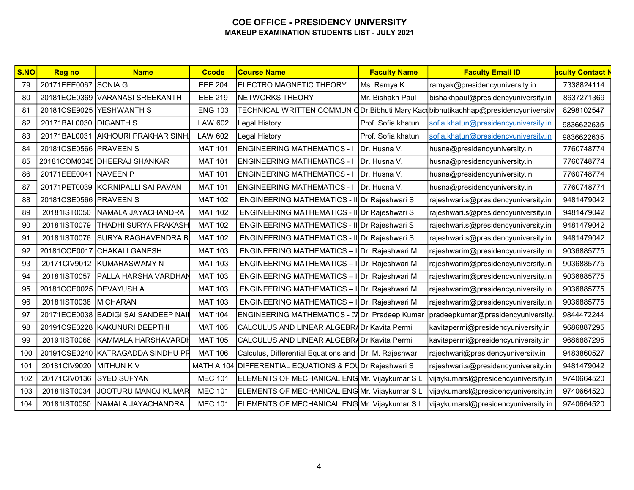| S.NO | <b>Reg no</b>           | <b>Name</b>                          | <b>Ccode</b>   | <b>Course Name</b>                                      | <b>Faculty Name</b> | <b>Faculty Email ID</b>                                                             | <mark>aculty Contact N</mark> |
|------|-------------------------|--------------------------------------|----------------|---------------------------------------------------------|---------------------|-------------------------------------------------------------------------------------|-------------------------------|
| 79   | 20171EEE0067 SONIA G    |                                      | <b>EEE 204</b> | <b>ELECTRO MAGNETIC THEORY</b>                          | Ms. Ramya K         | ramyak@presidencyuniversity.in                                                      | 7338824114                    |
| 80   |                         | 20181ECE0369 VARANASI SREEKANTH      | <b>EEE 219</b> | NETWORKS THEORY                                         | Mr. Bishakh Paul    | bishakhpaul@presidencyuniversity.in                                                 | 8637271369                    |
| 81   |                         | 20181CSE9025 YESHWANTH S             | <b>ENG 103</b> |                                                         |                     | TECHNICAL WRITTEN COMMUNIC Dr. Bibhuti Mary Kacobibhutikachhap@presidencyuniversity | 8298102547                    |
| 82   | 20171BAL0030 DIGANTH S  |                                      | <b>LAW 602</b> | Legal History                                           | Prof. Sofia khatun  | sofia.khatun@presidencyuniversity.in                                                | 9836622635                    |
| 83   |                         | 20171BAL0031 AKHOURI PRAKHAR SINH    | LAW 602        | Legal History                                           | Prof. Sofia khatun  | sofia.khatun@presidencyuniversity.in                                                | 9836622635                    |
| 84   | 20181CSE0566 PRAVEEN S  |                                      | <b>MAT 101</b> | <b>ENGINEERING MATHEMATICS - I</b>                      | Dr. Husna V.        | husna@presidencyuniversity.in                                                       | 7760748774                    |
| 85   |                         | 20181COM0045 DHEERAJ SHANKAR         | <b>MAT 101</b> | <b>ENGINEERING MATHEMATICS - I</b>                      | Dr. Husna V.        | husna@presidencyuniversity.in                                                       | 7760748774                    |
| 86   | 20171EEE0041 NAVEEN P   |                                      | <b>MAT 101</b> | <b>ENGINEERING MATHEMATICS - I</b>                      | Dr. Husna V.        | husna@presidencyuniversity.in                                                       | 7760748774                    |
| 87   |                         | 20171PET0039 KORNIPALLI SAI PAVAN    | <b>MAT 101</b> | <b>ENGINEERING MATHEMATICS - I</b>                      | IDr. Husna V.       | husna@presidencyuniversity.in                                                       | 7760748774                    |
| 88   | 20181CSE0566 PRAVEEN S  |                                      | <b>MAT 102</b> | ENGINEERING MATHEMATICS - II Dr Rajeshwari S            |                     | rajeshwari.s@presidencyuniversity.in                                                | 9481479042                    |
| 89   |                         | 20181IST0050 NAMALA JAYACHANDRA      | <b>MAT 102</b> | ENGINEERING MATHEMATICS - II Dr Rajeshwari S            |                     | rajeshwari.s@presidencyuniversity.in                                                | 9481479042                    |
| 90   | 20181IST0079            | <b>THADHI SURYA PRAKASH</b>          | <b>MAT 102</b> | ENGINEERING MATHEMATICS - II Dr Rajeshwari S            |                     | rajeshwari.s@presidencyuniversity.in                                                | 9481479042                    |
| 91   |                         | 20181IST0076 SURYA RAGHAVENDRA B     | <b>MAT 102</b> | ENGINEERING MATHEMATICS - II Dr Rajeshwari S            |                     | rajeshwari.s@presidencyuniversity.in                                                | 9481479042                    |
| 92   |                         | 20181CCE0017 CHAKALI GANESH          | <b>MAT 103</b> | ENGINEERING MATHEMATICS - IDr. Rajeshwari M             |                     | rajeshwarim@presidencyuniversity.in                                                 | 9036885775                    |
| 93   |                         | 20171CIV9012 KUMARASWAMY N           | <b>MAT 103</b> | ENGINEERING MATHEMATICS - IDr. Rajeshwari M             |                     | rajeshwarim@presidencyuniversity.in                                                 | 9036885775                    |
| 94   |                         | 20181IST0057   PALLA HARSHA VARDHAN  | <b>MAT 103</b> | ENGINEERING MATHEMATICS - I Dr. Rajeshwari M            |                     | rajeshwarim@presidencyuniversity.in                                                 | 9036885775                    |
| 95   | 20181CCE0025 DEVAYUSH A |                                      | <b>MAT 103</b> | ENGINEERING MATHEMATICS - IDr. Rajeshwari M             |                     | rajeshwarim@presidencyuniversity.in                                                 | 9036885775                    |
| 96   | 20181IST0038   M CHARAN |                                      | <b>MAT 103</b> | ENGINEERING MATHEMATICS - IDr. Rajeshwari M             |                     | rajeshwarim@presidencyuniversity.in                                                 | 9036885775                    |
| 97   |                         | 20171ECE0038 BADIGI SAI SANDEEP NAIH | <b>MAT 104</b> | ENGINEERING MATHEMATICS - IV Dr. Pradeep Kumar          |                     | pradeepkumar@presidencyuniversity.                                                  | 9844472244                    |
| 98   |                         | 20191CSE0228 KAKUNURI DEEPTHI        | <b>MAT 105</b> | CALCULUS AND LINEAR ALGEBRADr Kavita Permi              |                     | kavitapermi@presidencyuniversity.in                                                 | 9686887295                    |
| 99   |                         | 20191IST0066 KAMMALA HARSHAVARDH     | <b>MAT 105</b> | CALCULUS AND LINEAR ALGEBRADr Kavita Permi              |                     | kavitapermi@presidencyuniversity.in                                                 | 9686887295                    |
| 100  |                         | 20191CSE0240 KATRAGADDA SINDHU PR    | <b>MAT 106</b> | Calculus, Differential Equations and (Dr. M. Rajeshwari |                     | rajeshwari@presidencyuniversity.in                                                  | 9483860527                    |
| 101  | 20181CIV9020 MITHUN K V |                                      |                | MATH A 104 DIFFERENTIAL EQUATIONS & FOUD Rajeshwari S   |                     | rajeshwari.s@presidencyuniversity.in                                                | 9481479042                    |
| 102  |                         | 20171CIV0136 SYED SUFYAN             | <b>MEC 101</b> | ELEMENTS OF MECHANICAL ENGMr. Vijaykumar SL             |                     | vijaykumarsl@presidencyuniversity.in                                                | 9740664520                    |
| 103  | 20181IST0034            | JOOTURU MANOJ KUMAR                  | <b>MEC 101</b> | ELEMENTS OF MECHANICAL ENG Mr. Vijaykumar SL            |                     | vijaykumarsl@presidencyuniversity.in                                                | 9740664520                    |
| 104  |                         | 20181IST0050 NAMALA JAYACHANDRA      | <b>MEC 101</b> | ELEMENTS OF MECHANICAL ENGMr. Vijaykumar SL             |                     | vijaykumarsl@presidencyuniversity.in                                                | 9740664520                    |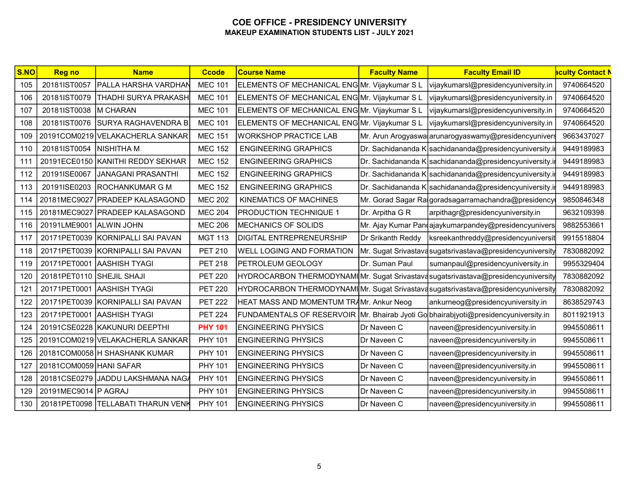| $\overline{\textsf{S}.\textsf{NO}}$ | <b>Reg no</b>             | <b>Name</b>                        | <b>Ccode</b>   | <b>Course Name</b>                                                                  | <b>Faculty Name</b> | <b>Faculty Email ID</b>                                                          | <mark>aculty Contact N</mark> |
|-------------------------------------|---------------------------|------------------------------------|----------------|-------------------------------------------------------------------------------------|---------------------|----------------------------------------------------------------------------------|-------------------------------|
| 105                                 | 20181IST0057              | PALLA HARSHA VARDHAN               | <b>MEC 101</b> | ELEMENTS OF MECHANICAL ENG Mr. Vijaykumar SL                                        |                     | vijaykumarsl@presidencyuniversity.in                                             | 9740664520                    |
| 106                                 | 20181IST0079              | <b>THADHI SURYA PRAKASH</b>        | <b>MEC 101</b> | ELEMENTS OF MECHANICAL ENGMr. Vijaykumar SL                                         |                     | vijaykumarsl@presidencyuniversity.in                                             | 9740664520                    |
| 107                                 | 20181IST0038   M CHARAN   |                                    | <b>MEC 101</b> | ELEMENTS OF MECHANICAL ENG Mr. Vijaykumar SL                                        |                     | vijaykumarsl@presidencyuniversity.in                                             | 9740664520                    |
| 108                                 | 20181IST0076              | SURYA RAGHAVENDRA B                | <b>MEC 101</b> | ELEMENTS OF MECHANICAL ENG Mr. Vijaykumar SL                                        |                     | vijaykumarsl@presidencyuniversity.in                                             | 9740664520                    |
| 109                                 |                           | 20191COM0219 VELAKACHERLA SANKAR   | <b>MEC 151</b> | <b>WORKSHOP PRACTICE LAB</b>                                                        |                     | Mr. Arun Arogyaswa arunarogyaswamy@presidencyunivers                             | 9663437027                    |
| 110                                 | 20181IST0054              | <b>NISHITHA M</b>                  | <b>MEC 152</b> | <b>ENGINEERING GRAPHICS</b>                                                         |                     | Dr. Sachidananda K sachidananda@presidencyuniversity.in                          | 9449189983                    |
| 111                                 |                           | 20191ECE0150 KANITHI REDDY SEKHAR  | <b>MEC 152</b> | <b>ENGINEERING GRAPHICS</b>                                                         |                     | Dr. Sachidananda K sachidananda@presidencyuniversity.i                           | 9449189983                    |
| 112                                 | 20191ISE0067              | JANAGANI PRASANTHI                 | <b>MEC 152</b> | <b>ENGINEERING GRAPHICS</b>                                                         |                     | Dr. Sachidananda K sachidananda@presidencyuniversity.ir                          | 9449189983                    |
| 113                                 | 20191ISE0203              | <b>ROCHANKUMAR G M</b>             | <b>MEC 152</b> | <b>ENGINEERING GRAPHICS</b>                                                         |                     | Dr. Sachidananda K sachidananda@presidencyuniversity.i                           | 9449189983                    |
| 114                                 |                           | 20181MEC9027 PRADEEP KALASAGOND    | <b>MEC 202</b> | KINEMATICS OF MACHINES                                                              |                     | Mr. Gorad Sagar Ralgoradsagarramachandra@presidency                              | 9850846348                    |
| 115                                 |                           | 20181MEC9027 PRADEEP KALASAGOND    | <b>MEC 204</b> | <b>PRODUCTION TECHNIQUE 1</b>                                                       | Dr. Arpitha G R     | arpithagr@presidencyuniversity.in                                                | 9632109398                    |
| 116                                 | 20191LME9001 ALWIN JOHN   |                                    | <b>MEC 206</b> | MECHANICS OF SOLIDS                                                                 |                     | Mr. Ajay Kumar Pandajaykumarpandey@presidencyunivers                             | 9882553661                    |
| 117                                 |                           | 20171PET0039 KORNIPALLI SAI PAVAN  | <b>MGT 113</b> | <b>DIGITAL ENTREPRENEURSHIP</b>                                                     | Dr Srikanth Reddy   | ksreekanthreddy@presidencyuniversit                                              | 9915518804                    |
| 118                                 |                           | 20171PET0039 KORNIPALLI SAI PAVAN  | <b>PET 210</b> | <b>WELL LOGING AND FORMATION</b>                                                    |                     | Mr. Sugat Srivastavasugatsrivastava@presidencyuniversity                         | 7830882092                    |
| 119                                 |                           | 20171PET0001 AASHISH TYAGI         | <b>PET 218</b> | <b>PETROLEUM GEOLOGY</b>                                                            | Dr. Suman Paul      | sumanpaul@presidencyuniversity.in                                                | 9955329404                    |
| 120                                 | 20181PET0110 SHEJIL SHAJI |                                    | <b>PET 220</b> |                                                                                     |                     | HYDROCARBON THERMODYNAMIMr. Sugat Srivastavasugatsrivastava@presidencyuniversity | 7830882092                    |
| 121                                 |                           | 20171PET0001 AASHISH TYAGI         | <b>PET 220</b> |                                                                                     |                     | HYDROCARBON THERMODYNAMIMr. Sugat Srivastavasugatsrivastava@presidencyuniversity | 7830882092                    |
| 122                                 |                           | 20171PET0039 KORNIPALLI SAI PAVAN  | <b>PET 222</b> | HEAT MASS AND MOMENTUM TRAMr. Ankur Neog                                            |                     | ankurneog@presidencyuniversity.in                                                | 8638529743                    |
| 123                                 |                           | 20171PET0001 AASHISH TYAGI         | <b>PET 224</b> | FUNDAMENTALS OF RESERVOIR Mr. Bhairab Jyoti Go bhairabjyoti@presidencyuniversity.in |                     |                                                                                  | 8011921913                    |
| 124                                 |                           | 20191CSE0228 KAKUNURI DEEPTHI      | <b>PHY 101</b> | <b>ENGINEERING PHYSICS</b>                                                          | Dr Naveen C         | naveen@presidencyuniversity.in                                                   | 9945508611                    |
| 125                                 |                           | 20191COM0219 VELAKACHERLA SANKAR   | <b>PHY 101</b> | <b>ENGINEERING PHYSICS</b>                                                          | Dr Naveen C         | naveen@presidencyuniversity.in                                                   | 9945508611                    |
| 126                                 |                           | 20181COM0058 H SHASHANK KUMAR      | <b>PHY 101</b> | <b>ENGINEERING PHYSICS</b>                                                          | Dr Naveen C         | naveen@presidencyuniversity.in                                                   | 9945508611                    |
| 127                                 | 20181COM0059 HANI SAFAR   |                                    | <b>PHY 101</b> | <b>ENGINEERING PHYSICS</b>                                                          | Dr Naveen C         | naveen@presidencyuniversity.in                                                   | 9945508611                    |
| 128                                 |                           | 20181CSE0279 JADDU LAKSHMANA NAGA  | <b>PHY 101</b> | <b>ENGINEERING PHYSICS</b>                                                          | Dr Naveen C         | naveen@presidencyuniversity.in                                                   | 9945508611                    |
| 129                                 | 20191MEC9014   P AGRAJ    |                                    | PHY 101        | <b>ENGINEERING PHYSICS</b>                                                          | Dr Naveen C         | naveen@presidencyuniversity.in                                                   | 9945508611                    |
| 130                                 |                           | 20181PET0098 TELLABATI THARUN VENK | <b>PHY 101</b> | <b>ENGINEERING PHYSICS</b>                                                          | Dr Naveen C         | naveen@presidencyuniversity.in                                                   | 9945508611                    |